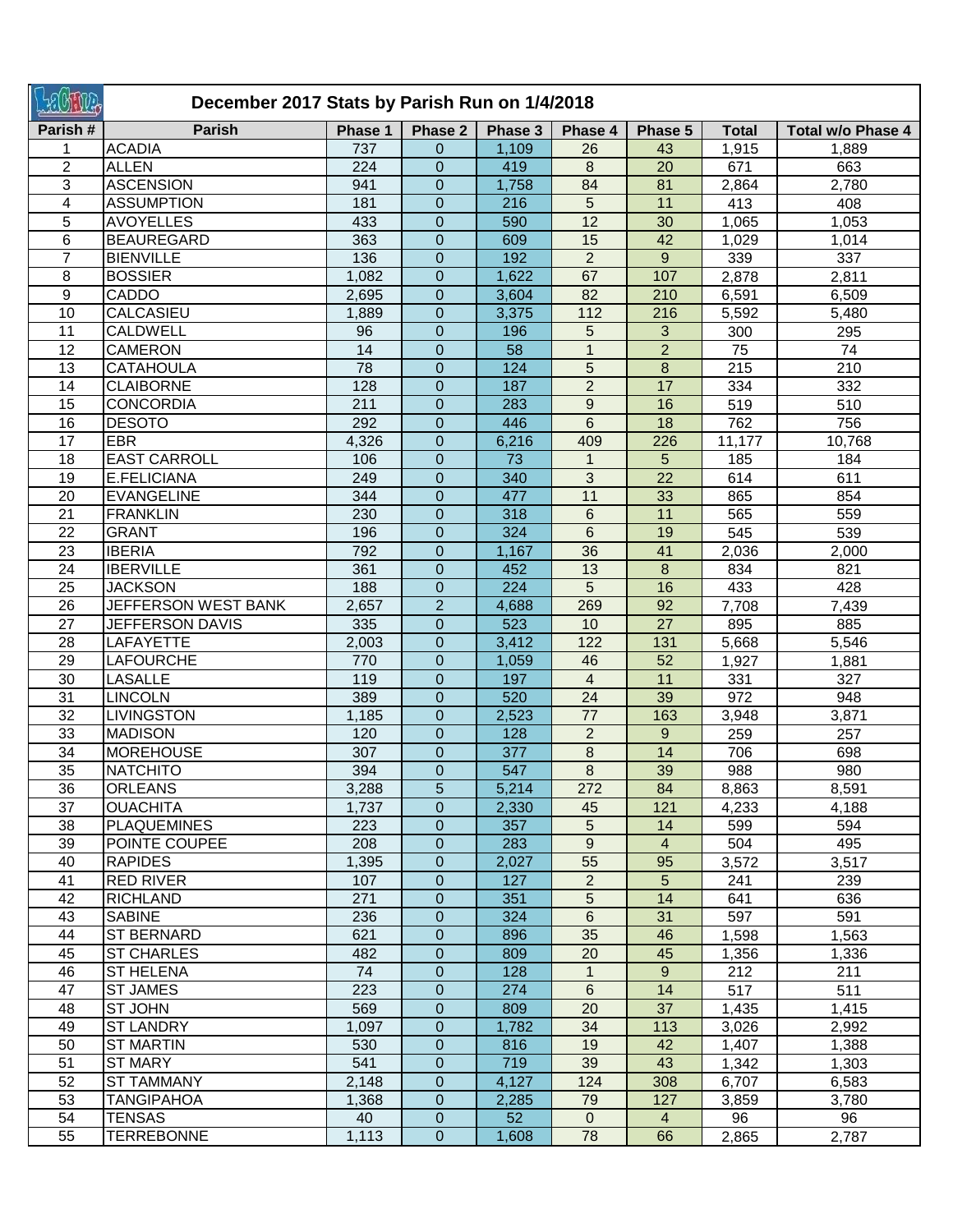| <b>SHILP</b>   | December 2017 Stats by Parish Run on 1/4/2018 |            |                               |              |                         |                 |              |                   |  |  |
|----------------|-----------------------------------------------|------------|-------------------------------|--------------|-------------------------|-----------------|--------------|-------------------|--|--|
| Parish#        | <b>Parish</b>                                 | Phase 1    | Phase 2                       | Phase 3      | Phase 4                 | Phase 5         | <b>Total</b> | Total w/o Phase 4 |  |  |
|                | <b>ACADIA</b>                                 | 737        | 0                             | 1,109        | 26                      | 43              | 1,915        | 1,889             |  |  |
| 2              | <b>ALLEN</b>                                  | 224        | $\mathbf{0}$                  | 419          | 8                       | 20              | 671          | 663               |  |  |
| 3              | <b>ASCENSION</b>                              | 941        | $\mathbf{0}$                  | 1,758        | 84                      | 81              | 2,864        | 2,780             |  |  |
| 4              | <b>ASSUMPTION</b>                             | 181        | $\mathbf{0}$                  | 216          | 5                       | 11              | 413          | 408               |  |  |
| 5              | <b>AVOYELLES</b>                              | 433        | $\mathbf{0}$                  | 590          | $\overline{12}$         | 30              | 1,065        | 1,053             |  |  |
| 6              | <b>BEAUREGARD</b>                             | 363        | $\mathbf 0$                   | 609          | 15                      | 42              | 1,029        | 1,014             |  |  |
| $\overline{7}$ | <b>BIENVILLE</b>                              | 136        | $\overline{0}$                | 192          | $\overline{2}$          | 9               | 339          | 337               |  |  |
| 8              | <b>BOSSIER</b>                                | 1,082      | $\overline{0}$                | 1,622        | 67                      | 107             | 2,878        | 2,811             |  |  |
| 9              | CADDO                                         | 2,695      | $\mathbf 0$                   | 3,604        | 82                      | 210             | 6,591        | 6,509             |  |  |
| 10             | CALCASIEU                                     | 1,889      | $\mathbf 0$                   | 3,375        | 112                     | 216             | 5,592        | 5,480             |  |  |
| 11             | <b>CALDWELL</b>                               | 96         | $\overline{0}$                | 196          | 5                       | 3               | 300          | 295               |  |  |
| 12             | <b>CAMERON</b>                                | 14         | $\mathbf{0}$                  | 58           | $\mathbf{1}$            | $\overline{2}$  | 75           | 74                |  |  |
| 13             | <b>CATAHOULA</b>                              | 78         | $\mathbf 0$                   | 124          | 5                       | 8               | 215          | 210               |  |  |
| 14             | <b>CLAIBORNE</b>                              | 128        | $\mathbf 0$                   | 187          | $\overline{2}$          | 17              | 334          | 332               |  |  |
| 15             | <b>CONCORDIA</b>                              | 211        | $\mathbf 0$                   | 283          | $\mathsf g$             | 16              | 519          | 510               |  |  |
| 16             | <b>DESOTO</b>                                 | 292        | $\mathbf 0$                   | 446          | 6                       | 18              | 762          | 756               |  |  |
| 17             | <b>EBR</b>                                    | 4,326      | 0                             | 6,216        | 409                     | 226             | 11,177       | 10,768            |  |  |
| 18             | <b>EAST CARROLL</b>                           | 106        | $\overline{0}$                | 73           | $\mathbf{1}$            | 5               | 185          | 184               |  |  |
| 19             | E.FELICIANA                                   | 249        | $\overline{0}$                | 340          | 3                       | 22              | 614          | 611               |  |  |
| 20             | <b>EVANGELINE</b>                             | 344        | $\overline{0}$                | 477          | 11                      | 33              | 865          | 854               |  |  |
| 21             | <b>FRANKLIN</b>                               | 230        | $\mathbf 0$                   | 318          | 6<br>$\overline{6}$     | 11              | 565          | 559               |  |  |
| 22<br>23       | <b>GRANT</b><br><b>IBERIA</b>                 | 196<br>792 | $\overline{0}$                | 324          | $\overline{36}$         | 19              | 545          | 539               |  |  |
| 24             | <b>IBERVILLE</b>                              | 361        | $\mathbf 0$<br>$\overline{0}$ | 1,167<br>452 | 13                      | 41<br>8         | 2,036<br>834 | 2,000<br>821      |  |  |
| 25             | <b>JACKSON</b>                                | 188        | $\mathbf{0}$                  | 224          | 5                       | 16              | 433          | 428               |  |  |
| 26             | JEFFERSON WEST BANK                           | 2,657      | $\overline{2}$                | 4,688        | 269                     | 92              | 7,708        | 7,439             |  |  |
| 27             | <b>JEFFERSON DAVIS</b>                        | 335        | $\mathbf{0}$                  | 523          | 10                      | $\overline{27}$ | 895          | 885               |  |  |
| 28             | LAFAYETTE                                     | 2,003      | $\mathbf{0}$                  | 3,412        | 122                     | 131             | 5,668        | 5,546             |  |  |
| 29             | <b>LAFOURCHE</b>                              | 770        | 0                             | 1,059        | 46                      | 52              | 1,927        | 1,881             |  |  |
| 30             | <b>LASALLE</b>                                | 119        | $\boldsymbol{0}$              | 197          | $\overline{\mathbf{4}}$ | 11              | 331          | 327               |  |  |
| 31             | <b>LINCOLN</b>                                | 389        | 0                             | 520          | 24                      | 39              | 972          | 948               |  |  |
| 32             | <b>LIVINGSTON</b>                             | 1,185      | 0                             | 2,523        | 77                      | 163             | 3,948        | 3,871             |  |  |
| 33             | <b>MADISON</b>                                | 120        | $\mathbf 0$                   | 128          | $\overline{2}$          | 9               | 259          | 257               |  |  |
| 34             | <b>MOREHOUSE</b>                              | 307        | 0                             | 377          | 8                       | 14              | 706          | 698               |  |  |
| 35             | <b>NATCHITO</b>                               | 394        | $\Omega$                      | 547          | 8                       | 39              | 988          | 980               |  |  |
| 36             | <b>ORLEANS</b>                                | 3,288      | 5                             | 5,214        | 272                     | 84              | 8,863        | 8,591             |  |  |
| 37             | <b>OUACHITA</b>                               | 1,737      | $\overline{0}$                | 2,330        | 45                      | 121             | 4,233        | 4,188             |  |  |
| 38             | <b>PLAQUEMINES</b>                            | 223        | $\mathbf{0}$                  | 357          | 5                       | 14              | 599          | 594               |  |  |
| 39             | POINTE COUPEE                                 | 208        | $\boldsymbol{0}$              | 283          | $\overline{9}$          | $\overline{4}$  | 504          | 495               |  |  |
| 40             | <b>RAPIDES</b>                                | 1,395      | $\mathbf{0}$                  | 2,027        | 55                      | 95              | 3,572        | 3,517             |  |  |
| 41             | RED RIVER                                     | 107        | $\mathbf{0}$                  | 127          | $\overline{2}$          | 5 <sup>5</sup>  | 241          | 239               |  |  |
| 42             | <b>RICHLAND</b>                               | 271        | $\overline{0}$                | 351          | 5                       | 14              | 641          | 636               |  |  |
| 43             | <b>SABINE</b>                                 | 236        | 0                             | 324          | 6                       | 31              | 597          | 591               |  |  |
| 44             | <b>ST BERNARD</b>                             | 621        | $\overline{0}$                | 896          | 35                      | 46              | 1,598        | 1,563             |  |  |
| 45             | <b>ST CHARLES</b>                             | 482        | 0                             | 809          | 20                      | 45              | 1,356        | 1,336             |  |  |
| 46             | <b>ST HELENA</b>                              | 74         | 0                             | 128          | $\mathbf 1$             | 9               | 212          | 211               |  |  |
| 47             | <b>ST JAMES</b>                               | 223        | 0                             | 274          | 6                       | 14              | 517          | 511               |  |  |
| 48             | ST JOHN                                       | 569        | $\overline{0}$                | 809          | 20                      | 37              | 1,435        | 1,415             |  |  |
| 49             | <b>ST LANDRY</b>                              | 1,097      | 0                             | 1,782        | 34                      | 113             | 3,026        | 2,992             |  |  |
| 50             | <b>ST MARTIN</b>                              | 530        | $\mathbf{0}$                  | 816          | 19                      | 42              | 1,407        | 1,388             |  |  |
| 51             | <b>ST MARY</b>                                | 541        | $\overline{0}$                | 719          | 39                      | 43              | 1,342        | 1,303             |  |  |
| 52             | <b>ST TAMMANY</b>                             | 2,148      | $\overline{0}$                | 4,127        | 124                     | 308             | 6,707        | 6,583             |  |  |
| 53             | <b>TANGIPAHOA</b>                             | 1,368      | $\mathbf{0}$                  | 2,285        | 79                      | 127             | 3,859        | 3,780             |  |  |
| 54             | <b>TENSAS</b>                                 | 40         | $\boldsymbol{0}$              | 52           | $\overline{0}$          | $\overline{4}$  | 96           | 96                |  |  |
| 55             | <b>TERREBONNE</b>                             | 1,113      | $\mathbf{0}$                  | 1,608        | 78                      | 66              | 2,865        | 2,787             |  |  |